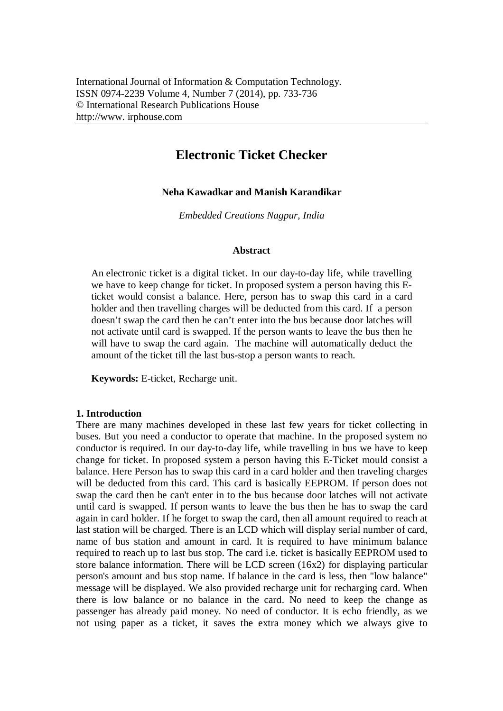# **Electronic Ticket Checker**

## **Neha Kawadkar and Manish Karandikar**

*Embedded Creations Nagpur, India*

#### **Abstract**

An electronic ticket is a digital ticket. In our day-to-day life, while travelling we have to keep change for ticket. In proposed system a person having this Eticket would consist a balance. Here, person has to swap this card in a card holder and then travelling charges will be deducted from this card. If a person doesn't swap the card then he can't enter into the bus because door latches will not activate until card is swapped. If the person wants to leave the bus then he will have to swap the card again. The machine will automatically deduct the amount of the ticket till the last bus-stop a person wants to reach.

**Keywords:** E-ticket, Recharge unit.

# **1. Introduction**

There are many machines developed in these last few years for ticket collecting in buses. But you need a conductor to operate that machine. In the proposed system no conductor is required. In our day-to-day life, while travelling in bus we have to keep change for ticket. In proposed system a person having this E-Ticket mould consist a balance. Here Person has to swap this card in a card holder and then traveling charges will be deducted from this card. This card is basically EEPROM. If person does not swap the card then he can't enter in to the bus because door latches will not activate until card is swapped. If person wants to leave the bus then he has to swap the card again in card holder. If he forget to swap the card, then all amount required to reach at last station will be charged. There is an LCD which will display serial number of card, name of bus station and amount in card. It is required to have minimum balance required to reach up to last bus stop. The card i.e. ticket is basically EEPROM used to store balance information. There will be LCD screen (16x2) for displaying particular person's amount and bus stop name. If balance in the card is less, then "low balance" message will be displayed. We also provided recharge unit for recharging card. When there is low balance or no balance in the card. No need to keep the change as passenger has already paid money. No need of conductor. It is echo friendly, as we not using paper as a ticket, it saves the extra money which we always give to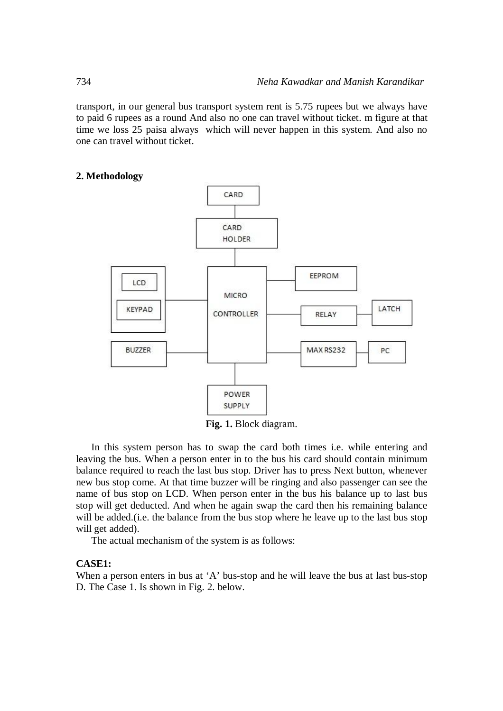transport, in our general bus transport system rent is 5.75 rupees but we always have to paid 6 rupees as a round And also no one can travel without ticket. m figure at that time we loss 25 paisa always which will never happen in this system. And also no one can travel without ticket.

#### **2. Methodology**



**Fig. 1.** Block diagram.

In this system person has to swap the card both times i.e. while entering and leaving the bus. When a person enter in to the bus his card should contain minimum balance required to reach the last bus stop. Driver has to press Next button, whenever new bus stop come. At that time buzzer will be ringing and also passenger can see the name of bus stop on LCD. When person enter in the bus his balance up to last bus stop will get deducted. And when he again swap the card then his remaining balance will be added. (i.e. the balance from the bus stop where he leave up to the last bus stop will get added).

The actual mechanism of the system is as follows:

### **CASE1:**

When a person enters in bus at 'A' bus-stop and he will leave the bus at last bus-stop D. The Case 1. Is shown in Fig. 2. below.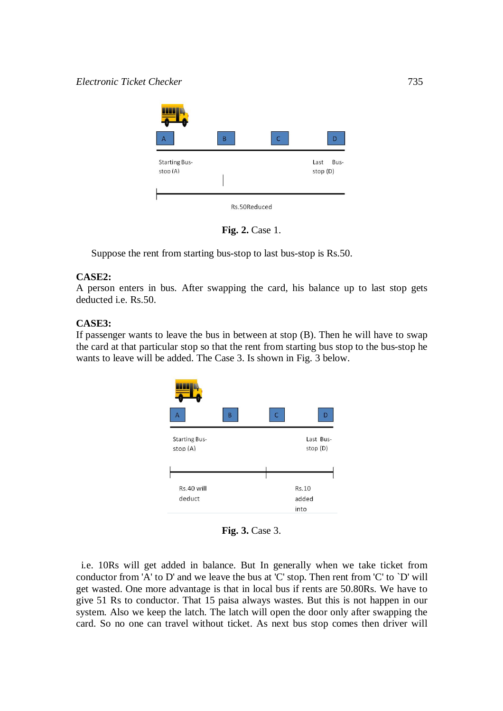

**Fig. 2.** Case 1.

Suppose the rent from starting bus-stop to last bus-stop is Rs.50.

# **CASE2:**

A person enters in bus. After swapping the card, his balance up to last stop gets deducted i.e. Rs.50.

# **CASE3:**

If passenger wants to leave the bus in between at stop (B). Then he will have to swap the card at that particular stop so that the rent from starting bus stop to the bus-stop he wants to leave will be added. The Case 3. Is shown in Fig. 3 below.



**Fig. 3.** Case 3.

 i.e. 10Rs will get added in balance. But In generally when we take ticket from conductor from 'A' to D' and we leave the bus at 'C' stop. Then rent from 'C' to `D' will get wasted. One more advantage is that in local bus if rents are 50.80Rs. We have to give 51 Rs to conductor. That 15 paisa always wastes. But this is not happen in our system. Also we keep the latch. The latch will open the door only after swapping the card. So no one can travel without ticket. As next bus stop comes then driver will